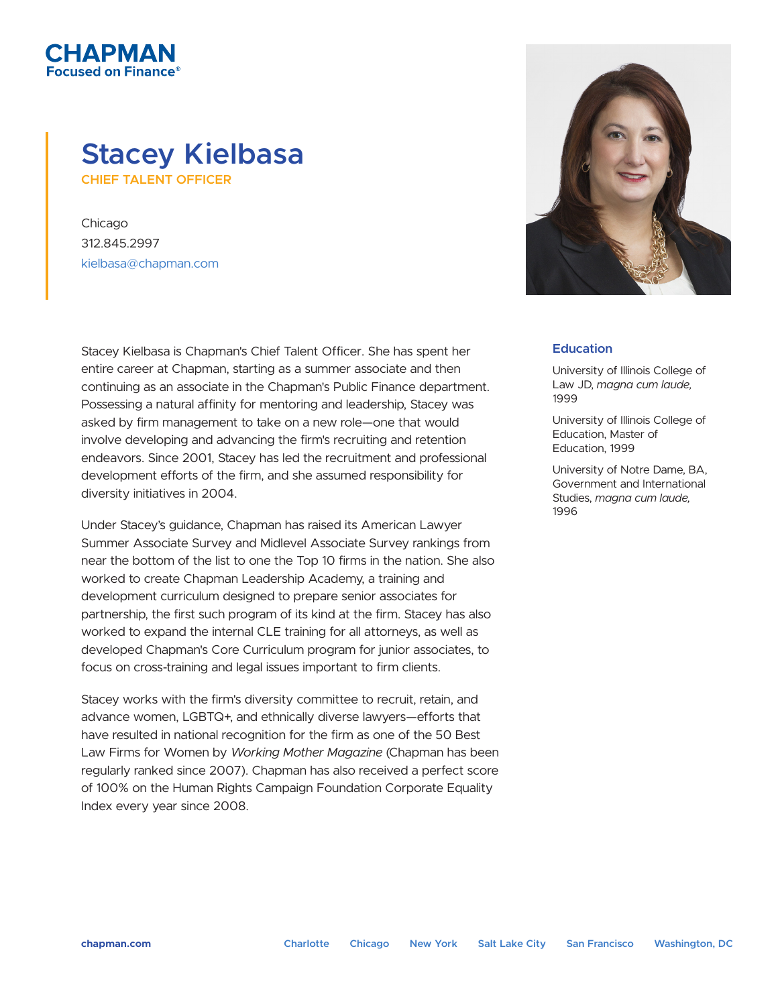## **Stacey Kielbasa CHIEF TALENT OFFICER**

Chicago 312.845.2997 kielbasa@chapman.com

СНАРМАН used on Finance $^\mathrm{e}$ 

> Stacey Kielbasa is Chapman's Chief Talent Officer. She has spent her entire career at Chapman, starting as a summer associate and then continuing as an associate in the Chapman's Public Finance department. Possessing a natural affinity for mentoring and leadership, Stacey was asked by firm management to take on a new role—one that would involve developing and advancing the firm's recruiting and retention endeavors. Since 2001, Stacey has led the recruitment and professional development efforts of the firm, and she assumed responsibility for diversity initiatives in 2004.

Under Stacey's guidance, Chapman has raised its American Lawyer Summer Associate Survey and Midlevel Associate Survey rankings from near the bottom of the list to one the Top 10 firms in the nation. She also worked to create Chapman Leadership Academy, a training and development curriculum designed to prepare senior associates for partnership, the first such program of its kind at the firm. Stacey has also worked to expand the internal CLE training for all attorneys, as well as developed Chapman's Core Curriculum program for junior associates, to focus on cross-training and legal issues important to firm clients.

Stacey works with the firm's diversity committee to recruit, retain, and advance women, LGBTQ+, and ethnically diverse lawyers-efforts that have resulted in national recognition for the firm as one of the 50 Best Law Firms for Women by *Working Mother Magazine* (Chapman has been regularly ranked since 2007). Chapman has also received a perfect score of 100% on the Human Rights Campaign Foundation Corporate Equality Index every year since 2008.



## **Education**

University of Illinois College of Law JD, *magna cum laude,* 1999

University of Illinois College of Education, Master of Education, 1999

University of Notre Dame, BA, Government and International Studies, *magna cum laude,* 1996